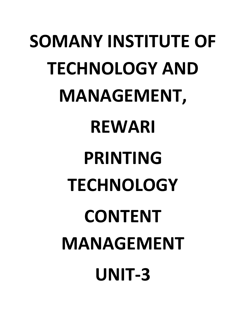# **SOMANY INSTITUTE OF TECHNOLOGY AND MANAGEMENT, REWARI PRINTING TECHNOLOGY CONTENT MANAGEMENT UNIT-3**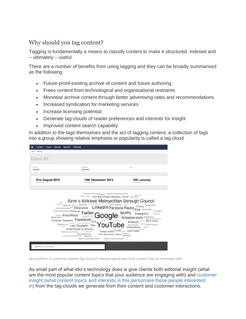#### Why should you tag content?

Tagging is fundamentally a means to classify content to make it structured, indexed and – ultimately – useful.

There are a number of benefits from using tagging and they can be broadly summarised as the following:

- Future-proof existing archive of content and future authoring
- Frees content from technological and organisational restraints
- Monetise archive content through better advertising rates and recommendations
- Increased syndication for marketing services
- Increase licensing potential
- Generate tag-clouds of reader preferences and interests for insight
- Improved content search capability

In addition to the tags themselves and the act of tagging content, a collection of tags into a group showing relative emphasis or popularity is called a tag cloud.

| Users / User #1                   | <b>Topics</b><br><b>Sources</b><br>Sections        | <b>Deliveries</b>                                                                                                                                                                                                                                                                                                                                                                                                                                                                                                                                                                                                                                                                             |                                                                                                                                 |
|-----------------------------------|----------------------------------------------------|-----------------------------------------------------------------------------------------------------------------------------------------------------------------------------------------------------------------------------------------------------------------------------------------------------------------------------------------------------------------------------------------------------------------------------------------------------------------------------------------------------------------------------------------------------------------------------------------------------------------------------------------------------------------------------------------------|---------------------------------------------------------------------------------------------------------------------------------|
|                                   |                                                    |                                                                                                                                                                                                                                                                                                                                                                                                                                                                                                                                                                                                                                                                                               |                                                                                                                                 |
| User #1                           |                                                    |                                                                                                                                                                                                                                                                                                                                                                                                                                                                                                                                                                                                                                                                                               |                                                                                                                                 |
|                                   |                                                    |                                                                                                                                                                                                                                                                                                                                                                                                                                                                                                                                                                                                                                                                                               |                                                                                                                                 |
| onn_id<br>A384D5F                 |                                                    | tabitook<br>289743824                                                                                                                                                                                                                                                                                                                                                                                                                                                                                                                                                                                                                                                                         | idio<br>$\mathbf{1}$                                                                                                            |
|                                   |                                                    |                                                                                                                                                                                                                                                                                                                                                                                                                                                                                                                                                                                                                                                                                               |                                                                                                                                 |
| 21st August 2013<br>LISER CREATED |                                                    | 12th December 2013<br>FIRST INTERACTION                                                                                                                                                                                                                                                                                                                                                                                                                                                                                                                                                                                                                                                       | 15th January<br>LAST INTERACTION                                                                                                |
|                                   |                                                    |                                                                                                                                                                                                                                                                                                                                                                                                                                                                                                                                                                                                                                                                                               |                                                                                                                                 |
|                                   | Airc<br>AdSense<br>Mobile phone<br>Flipboard, Inc. | Azmi v Kirklees Metropolitan Borough Council<br>$\begin{tabular}{c c c c c c} \textbf{Apple} & \textbf{Data} & \textbf{Data} & \textbf{Data} & \textbf{Data} & \textbf{Data} & \textbf{Data} & \textbf{Data} & \textbf{Data} \\ \textbf{A} & \textbf{Data} & \textbf{Data} & \textbf{Data} & \textbf{Data} & \textbf{Data} & \textbf{Data} \\ \textbf{A} & \textbf{A} & \textbf{A} & \textbf{A} & \textbf{A} & \textbf{A} & \textbf{A} & \textbf{A} \\ \textbf{A} & \textbf{A} & \textbf{A} & \textbf{A} & \textbf{A}$<br>Online advertising Bacon EMarketer<br>Forrester Research Facebook<br>Trendr: Use case Podcast<br>YouTube Smartphone<br>Initial public offering<br>Led Zeppelin Rdio | Jin iPhone Bookmarklet<br>Investment banking Revenue Twitter Google Spotify Instagram<br>Android <sup>Big Four</sup> Mind share |

idio platform: A customer interest tag cloud of interests generated from content they've interacted with.

As small part of what idio's technology does is give clients both editorial insight (what are the most popular content topics that your audience are engaging with) and [customer](http://www.theguardian.com/media-network/2013/aug/21/content-marketing-analytics)  [insight \(what content topics and interests is this person/are these people interested](http://www.theguardian.com/media-network/2013/aug/21/content-marketing-analytics)  [in\)](http://www.theguardian.com/media-network/2013/aug/21/content-marketing-analytics) from the tag-clouds we generate from their content and customer interactions.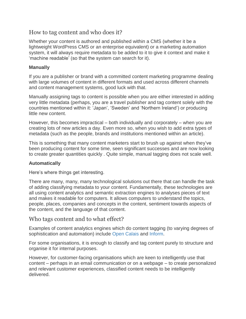#### How to tag content and who does it?

Whether your content is authored and published within a CMS (whether it be a lightweight WordPress CMS or an enterprise equivalent) or a marketing automation system, it will always require metadata to be added to it to give it context and make it 'machine readable' (so that the system can search for it).

#### **Manually**

If you are a publisher or brand with a committed content marketing programme dealing with large volumes of content in different formats and used across different channels and content management systems, good luck with that.

Manually assigning tags to content is possible when you are either interested in adding very little metadata (perhaps, you are a travel publisher and tag content solely with the countries mentioned within it: 'Japan', 'Sweden' and 'Northern Ireland') or producing little new content.

However, this becomes impractical – both individually and corporately – when you are creating lots of new articles a day. Even more so, when you wish to add extra types of metadata (such as the people, brands and institutions mentioned within an article).

This is something that many content marketers start to brush up against when they've been producing content for some time, seen significant successes and are now looking to create greater quantities quickly . Quite simple, manual tagging does not scale well.

#### **Automatically**

Here's where things get interesting.

There are many, many, many technological solutions out there that can handle the task of adding classifying metadata to your content. Fundamentally, these technologies are all using content analytics and semantic extraction engines to analyses pieces of text and makes it readable for computers. It allows computers to understand the topics, people, places, companies and concepts in the content, sentiment towards aspects of the content, and the language of that content.

#### Who tags content and to what effect?

Examples of content analytics engines which do content tagging (to varying degrees of sophistication and automation) include [Open Calais](http://www.opencalais.com/) and [Inform.](http://inform.com/)

For some organisations, it is enough to classify and tag content purely to structure and organise it for internal purposes.

However, for customer-facing organisations which are keen to intelligently use that content – perhaps in an email communication or on a webpage – to create personalized and relevant customer experiences, classified content needs to be intelligently delivered.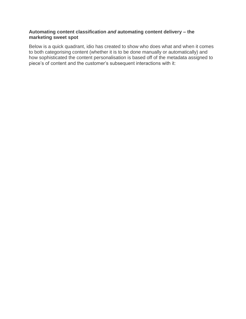#### **Automating content classification** *and* **automating content delivery – the marketing sweet spot**

Below is a quick quadrant, idio has created to show who does what and when it comes to both categorising content (whether it is to be done manually or automatically) and how sophisticated the content personalisation is based off of the metadata assigned to piece's of content and the customer's subsequent interactions with it: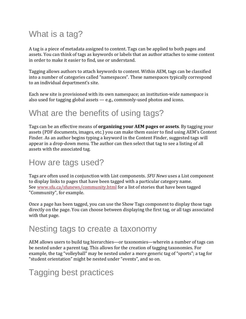# What is a tag?

A tag is a piece of metadata assigned to content. Tags can be applied to both pages and assets. You can think of tags as keywords or labels that an author attaches to some content in order to make it easier to find, use or understand.

Tagging allows authors to attach keywords to content. Within AEM, tags can be classified into a number of categories called "namespaces". These namespaces typically correspond to an individual department's site.

Each new site is provisioned with its own namespace; an institution-wide namespace is also used for tagging global assets — e.g., commonly-used photos and icons.

## What are the benefits of using tags?

Tags can be an effective means of **organizing your AEM pages or assets**. By tagging your assets (PDF documents, images, etc.) you can make them easier to find using AEM's Content Finder. As an author begins typing a keyword in the Content Finder, suggested tags will appear in a drop-down menu. The author can then select that tag to see a listing of all assets with the associated tag.

#### How are tags used?

Tags are often used in conjunction with List components. *SFU News* uses a List component to display links to pages that have been tagged with a particular category name. See [www.sfu.ca/sfunews/community.html](http://www.sfu.ca/sfunews/community.html) for a list of stories that have been tagged "Community", for example.

Once a page has been tagged, you can use the Show Tags component to display those tags directly on the page. You can choose between displaying the first tag, or all tags associated with that page.

## Nesting tags to create a taxonomy

AEM allows users to build tag hierarchies—or taxonomies—wherein a number of tags can be nested under a parent tag. This allows for the creation of tagging taxonomies. For example, the tag "volleyball" may be nested under a more generic tag of "sports"; a tag for "student orientation" might be nested under "events", and so on.

## Tagging best practices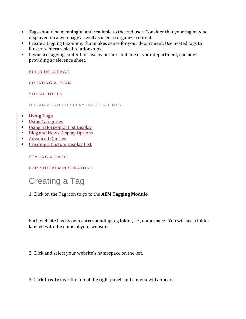- Tags should be meaningful and readable to the end user. Consider that your tag may be displayed on a web page as well as used to organize content.
- Create a tagging taxonomy that makes sense for your department. Use nested tags to illustrate hierarchical relationships.
- If you are tagging content for use by authors outside of your department, consider providing a reference sheet.

[BUILDING A PAGE](https://www.sfu.ca/cms/howto/advanced/build-a-page.html)

[CREATING A FORM](https://www.sfu.ca/cms/howto/advanced/creating-a-form.html)

[SOCIAL TOOLS](https://www.sfu.ca/cms/howto/advanced/social-tools.html)

ORGANIZE AND DISPLAY PAGES & LINKS

- **[Using Tags](https://www.sfu.ca/cms/howto/advanced/organize-and-optimize/tags.html)**
- [Using Categories](https://www.sfu.ca/cms/howto/advanced/organize-and-optimize/using-categories.html)
- [Using a Horizontal List Display](https://www.sfu.ca/cms/howto/advanced/organize-and-optimize/horizontal-list.html)
- [Blog and News Display Options](https://www.sfu.ca/cms/howto/advanced/organize-and-optimize/blog-and-news-display.html)
- **•** [Advanced Queries](https://www.sfu.ca/cms/howto/advanced/organize-and-optimize/advanced-queries.html)
- [Creating a Custom Display List](https://www.sfu.ca/cms/howto/advanced/organize-and-optimize/custom-list.html)

#### [STYLING A PAGE](https://www.sfu.ca/cms/howto/advanced/style-a-page.html)

[FOR SITE ADMINISTRATORS](https://www.sfu.ca/cms/howto/advanced/for-site-admins.html)

## Creating a Tag

1. Click on the Tag icon to go to the **AEM Tagging Module**.

Each website has its own corresponding tag folder, i.e., namespace. You will see a folder labeled with the name of your website.

2. Click and select your website's namespace on the left.

3. Click **Create** near the top of the right panel, and a menu will appear.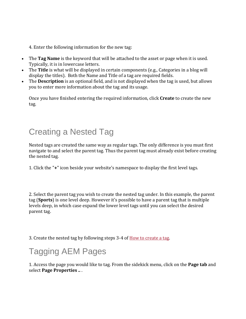4. Enter the following information for the new tag:

- The **Tag Name** is the keyword that will be attached to the asset or page when it is used. Typically, it is in lowercase letters.
- The **Title** is what will be displayed in certain components (e.g., Categories in a blog will display the titles). Both the Name and Title of a tag are required fields.
- The **Description** is an optional field, and is not displayed when the tag is used, but allows you to enter more information about the tag and its usage.

Once you have finished entering the required information, click **Create** to create the new tag.

## Creating a Nested Tag

Nested tags are created the same way as regular tags. The only difference is you must first navigate to and select the parent tag. Thus the parent tag must already exist before creating the nested tag.

1. Click the "**+**" icon beside your website's namespace to display the first level tags.

2. Select the parent tag you wish to create the nested tag under. In this example, the parent tag (**Sports**) is one level deep. However it's possible to have a parent tag that is multiple levels deep, in which case expand the lower level tags until you can select the desired parent tag.

3. Create the nested tag by following steps 3-4 of [How to create a tag.](https://www.sfu.ca/cms/howto/advanced/organize-and-optimize/tags.html#create)

# Tagging AEM Pages

1. Access the page you would like to tag. From the sidekick menu, click on the **Page tab** and select **Page Properties ..** .